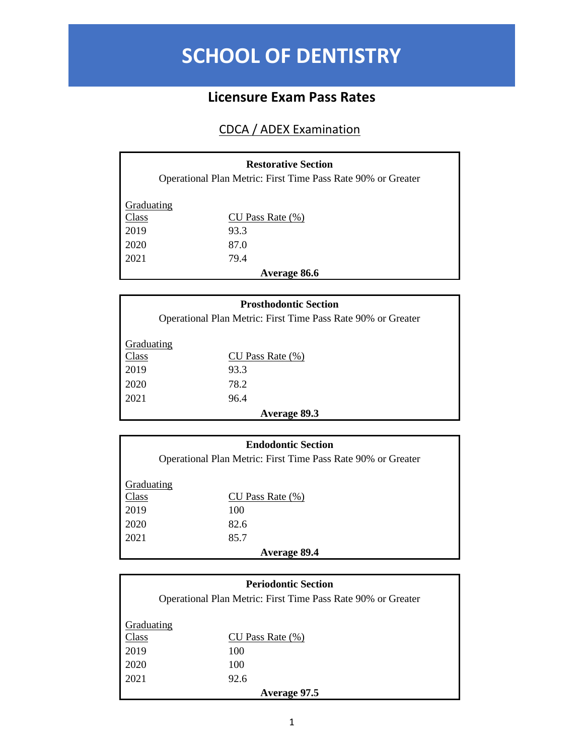## **SCHOOL OF DENTISTRY**

## **Licensure Exam Pass Rates**

## CDCA / ADEX Examination

| <b>Restorative Section</b><br>Operational Plan Metric: First Time Pass Rate 90% or Greater |                       |  |
|--------------------------------------------------------------------------------------------|-----------------------|--|
| Graduating                                                                                 |                       |  |
| Class                                                                                      | $CU$ Pass Rate $(\%)$ |  |
| 2019                                                                                       | 93.3                  |  |
| 2020                                                                                       | 87.0                  |  |
| 2021                                                                                       | 79.4                  |  |
| Average 86.6                                                                               |                       |  |

| <b>Prosthodontic Section</b>                                 |                       |
|--------------------------------------------------------------|-----------------------|
| Operational Plan Metric: First Time Pass Rate 90% or Greater |                       |
| Graduating                                                   |                       |
| Class                                                        | $CU$ Pass Rate $(\%)$ |
| 2019                                                         | 93.3                  |
| 2020                                                         | 78.2                  |
| 2021                                                         | 96.4                  |
| <b>Average 89.3</b>                                          |                       |

| <b>Endodontic Section</b>                                    |                       |
|--------------------------------------------------------------|-----------------------|
| Operational Plan Metric: First Time Pass Rate 90% or Greater |                       |
|                                                              |                       |
| Graduating                                                   |                       |
| Class                                                        | $CU$ Pass Rate $(\%)$ |
| 2019                                                         | 100                   |
| 2020                                                         | 82.6                  |
| 2021                                                         | 85.7                  |
| Average 89.4                                                 |                       |

| <b>Periodontic Section</b><br>Operational Plan Metric: First Time Pass Rate 90% or Greater |                       |
|--------------------------------------------------------------------------------------------|-----------------------|
| Graduating                                                                                 |                       |
| Class                                                                                      | $CU$ Pass Rate $(\%)$ |
| 2019                                                                                       | 100                   |
| 2020                                                                                       | 100                   |
| 2021                                                                                       | 92.6                  |
| Average 97.5                                                                               |                       |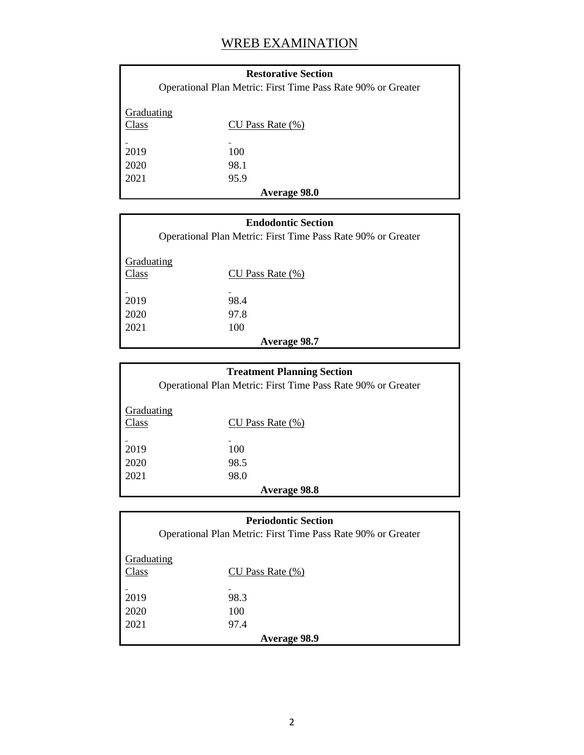## WREB EXAMINATION

| <b>Restorative Section</b><br>Operational Plan Metric: First Time Pass Rate 90% or Greater |                       |  |
|--------------------------------------------------------------------------------------------|-----------------------|--|
| Graduating<br>Class                                                                        | $CU$ Pass Rate $(\%)$ |  |
| 2019                                                                                       | 100                   |  |
| 2020                                                                                       | 98.1                  |  |
| 2021                                                                                       | 95.9                  |  |
| <b>Average 98.0</b>                                                                        |                       |  |

| <b>Endodontic Section</b>                                    |                       |
|--------------------------------------------------------------|-----------------------|
| Operational Plan Metric: First Time Pass Rate 90% or Greater |                       |
| Graduating<br>Class                                          | $CU$ Pass Rate $(\%)$ |
| 2019                                                         | 98.4                  |
|                                                              |                       |
| 2020                                                         | 97.8                  |
| 2021                                                         | 100                   |
| <b>Average 98.7</b>                                          |                       |

| <b>Treatment Planning Section</b>                            |                       |
|--------------------------------------------------------------|-----------------------|
| Operational Plan Metric: First Time Pass Rate 90% or Greater |                       |
| <b>Graduating</b>                                            |                       |
| Class                                                        | $CU$ Pass Rate $(\%)$ |
|                                                              |                       |
| 2019                                                         | 100                   |
| 2020                                                         | 98.5                  |
| 2021                                                         | 98.0                  |
| <b>Average 98.8</b>                                          |                       |

| <b>Periodontic Section</b>                                   |                       |
|--------------------------------------------------------------|-----------------------|
| Operational Plan Metric: First Time Pass Rate 90% or Greater |                       |
| Graduating                                                   |                       |
| Class                                                        | $CU$ Pass Rate $(\%)$ |
|                                                              |                       |
| 2019                                                         | 98.3                  |
| 2020                                                         | 100                   |
| 2021                                                         | 97.4                  |
| <b>Average 98.9</b>                                          |                       |